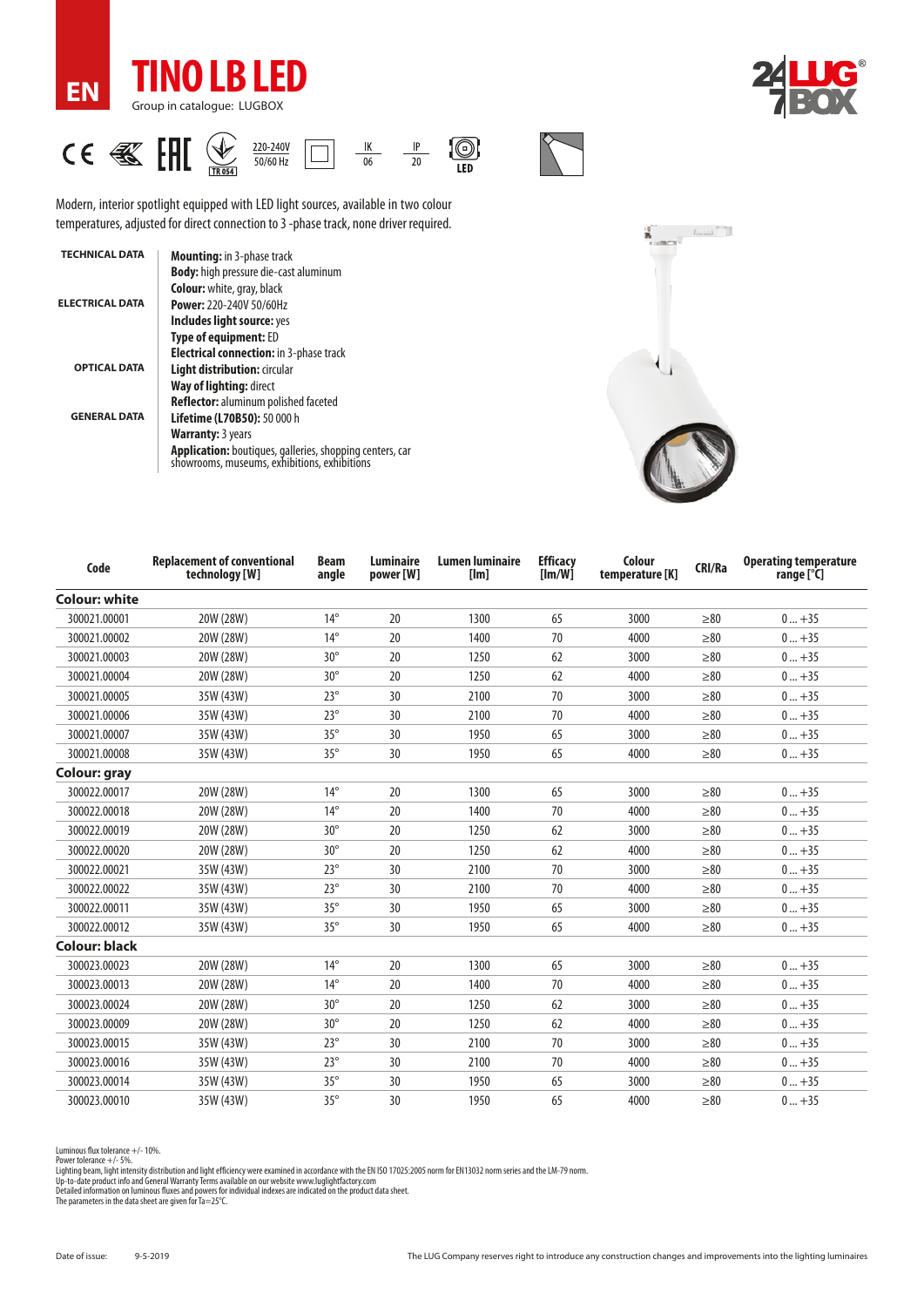

**EN**





Modern, interior spotlight equipped with LED light sources, available in two colour temperatures, adjusted for direct connection to 3 -phase track, none driver required.

| <b>TECHNICAL DATA</b>  | <b>Mounting:</b> in 3-phase track                                                                               |
|------------------------|-----------------------------------------------------------------------------------------------------------------|
|                        | <b>Body:</b> high pressure die-cast aluminum                                                                    |
|                        | <b>Colour:</b> white, gray, black                                                                               |
| <b>ELECTRICAL DATA</b> | Power: 220-240V 50/60Hz                                                                                         |
|                        | Includes light source: yes                                                                                      |
|                        | <b>Type of equipment: ED</b>                                                                                    |
|                        | <b>Electrical connection:</b> in 3-phase track                                                                  |
| <b>OPTICAL DATA</b>    | Light distribution: circular                                                                                    |
|                        | Way of lighting: direct                                                                                         |
|                        | Reflector: aluminum polished faceted                                                                            |
| <b>GENERAL DATA</b>    | Lifetime (L70B50): 50 000 h                                                                                     |
|                        | <b>Warranty: 3 years</b>                                                                                        |
|                        | <b>Application:</b> boutiques, galleries, shopping centers, car<br>showrooms, museums, exhibitions, exhibitions |



| Code                 | <b>Replacement of conventional</b><br>technology [W] | <b>Beam</b><br>angle | Luminaire<br>power [W] | <b>Lumen luminaire</b><br>[lm] | <b>Efficacy</b><br>[Im/W] | Colour<br>temperature [K] | CRI/Ra    | <b>Operating temperature</b><br>range [°C] |
|----------------------|------------------------------------------------------|----------------------|------------------------|--------------------------------|---------------------------|---------------------------|-----------|--------------------------------------------|
| <b>Colour: white</b> |                                                      |                      |                        |                                |                           |                           |           |                                            |
| 300021.00001         | 20W (28W)                                            | $14^{\circ}$         | 20                     | 1300                           | 65                        | 3000                      | $\geq 80$ | $0+35$                                     |
| 300021.00002         | 20W (28W)                                            | $14^{\circ}$         | 20                     | 1400                           | 70                        | 4000                      | $\geq 80$ | $0+35$                                     |
| 300021.00003         | 20W (28W)                                            | $30^\circ$           | 20                     | 1250                           | 62                        | 3000                      | $\geq 80$ | $0+35$                                     |
| 300021.00004         | 20W (28W)                                            | $30^\circ$           | 20                     | 1250                           | 62                        | 4000                      | $\geq 80$ | $0+35$                                     |
| 300021.00005         | 35W (43W)                                            | $23^\circ$           | 30                     | 2100                           | 70                        | 3000                      | $\geq 80$ | $0+35$                                     |
| 300021.00006         | 35W (43W)                                            | $23^\circ$           | 30                     | 2100                           | 70                        | 4000                      | $\geq 80$ | $0+35$                                     |
| 300021.00007         | 35W (43W)                                            | $35^\circ$           | 30                     | 1950                           | 65                        | 3000                      | $\geq 80$ | $0+35$                                     |
| 300021.00008         | 35W (43W)                                            | $35^\circ$           | 30                     | 1950                           | 65                        | 4000                      | $\geq 80$ | $0+35$                                     |
| Colour: gray         |                                                      |                      |                        |                                |                           |                           |           |                                            |
| 300022.00017         | 20W (28W)                                            | $14^{\circ}$         | 20                     | 1300                           | 65                        | 3000                      | $\geq 80$ | $0+35$                                     |
| 300022.00018         | 20W (28W)                                            | $14^{\circ}$         | 20                     | 1400                           | 70                        | 4000                      | $\geq 80$ | $0+35$                                     |
| 300022.00019         | 20W (28W)                                            | $30^\circ$           | 20                     | 1250                           | 62                        | 3000                      | $\geq 80$ | $0+35$                                     |
| 300022.00020         | 20W (28W)                                            | $30^\circ$           | 20                     | 1250                           | 62                        | 4000                      | $\geq 80$ | $0+35$                                     |
| 300022.00021         | 35W (43W)                                            | $23^\circ$           | 30                     | 2100                           | 70                        | 3000                      | $\geq 80$ | $0+35$                                     |
| 300022.00022         | 35W (43W)                                            | $23^\circ$           | 30                     | 2100                           | 70                        | 4000                      | $\geq 80$ | $0+35$                                     |
| 300022.00011         | 35W (43W)                                            | $35^\circ$           | 30                     | 1950                           | 65                        | 3000                      | >80       | $0+35$                                     |
| 300022.00012         | 35W (43W)                                            | $35^\circ$           | 30                     | 1950                           | 65                        | 4000                      | $\geq 80$ | $0+35$                                     |
| <b>Colour: black</b> |                                                      |                      |                        |                                |                           |                           |           |                                            |
| 300023.00023         | 20W (28W)                                            | $14^{\circ}$         | 20                     | 1300                           | 65                        | 3000                      | $\geq 80$ | $0+35$                                     |
| 300023.00013         | 20W (28W)                                            | $14^{\circ}$         | 20                     | 1400                           | 70                        | 4000                      | $\geq 80$ | $0+35$                                     |
| 300023.00024         | 20W (28W)                                            | $30^\circ$           | 20                     | 1250                           | 62                        | 3000                      | $\geq 80$ | $0+35$                                     |
| 300023.00009         | 20W (28W)                                            | $30^\circ$           | 20                     | 1250                           | 62                        | 4000                      | $\geq 80$ | $0+35$                                     |
| 300023.00015         | 35W (43W)                                            | $23^\circ$           | 30                     | 2100                           | 70                        | 3000                      | $\geq 80$ | $0+35$                                     |
| 300023.00016         | 35W (43W)                                            | $23^\circ$           | 30                     | 2100                           | 70                        | 4000                      | $\geq 80$ | $0+35$                                     |
| 300023.00014         | 35W (43W)                                            | $35^\circ$           | 30                     | 1950                           | 65                        | 3000                      | $\geq 80$ | $0+35$                                     |
| 300023.00010         | 35W (43W)                                            | $35^\circ$           | 30                     | 1950                           | 65                        | 4000                      | $\geq 80$ | $0+35$                                     |

Luminous flux tolerance +/- 10%.

Power tolerance +/- 5%.<br>Lighting beam, light intensity distribution and light efficiency were examined in accordance with the EN ISO 17025:2005 norm for EN13032 norm series and the LM-79 norm.<br>Up-to-date product info and G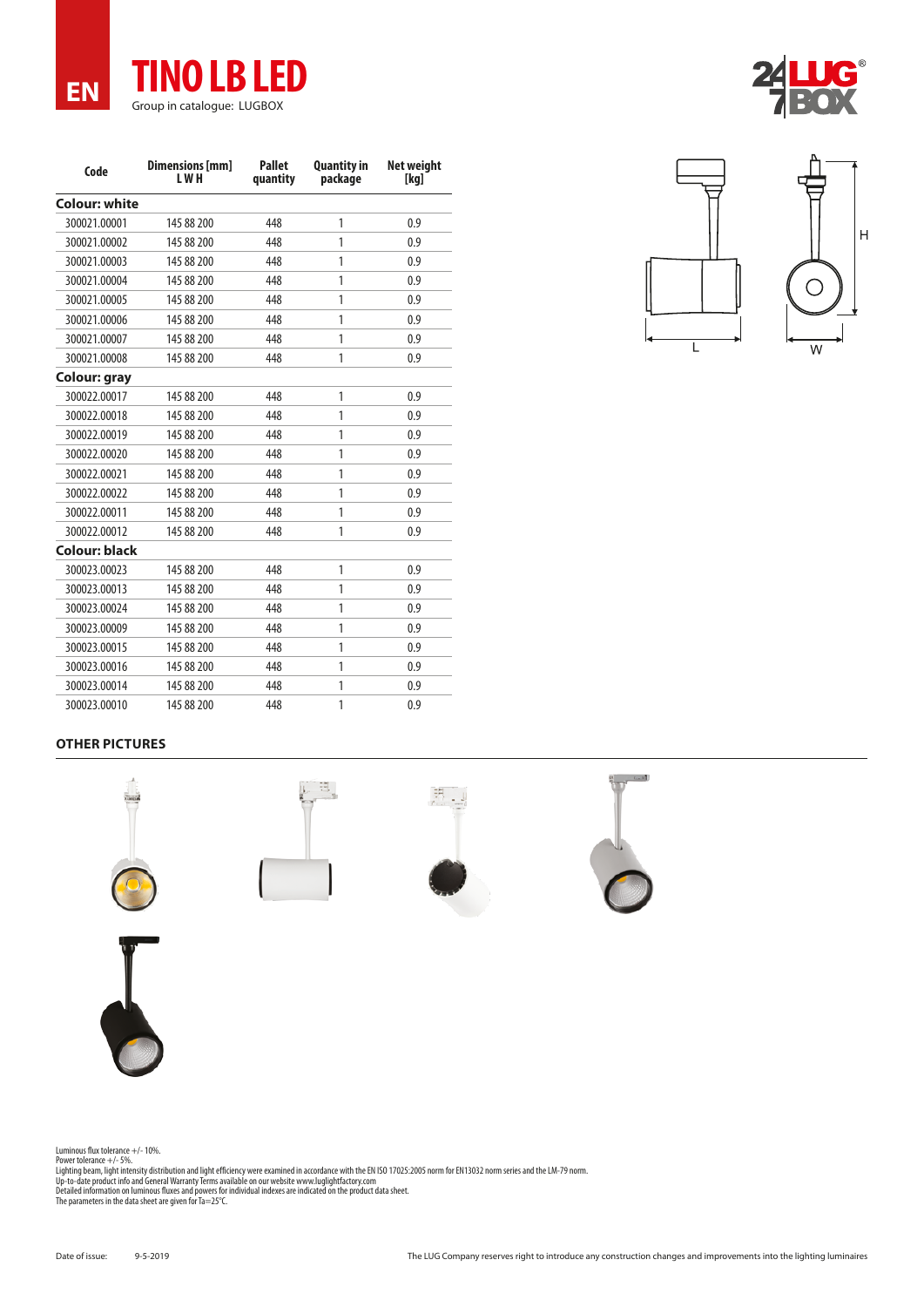

| Code                 | <b>Dimensions</b> [mm]<br>L W H | <b>Pallet</b><br>quantity | <b>Quantity in</b><br>package | <b>Net weight</b><br>[kg] |
|----------------------|---------------------------------|---------------------------|-------------------------------|---------------------------|
| <b>Colour: white</b> |                                 |                           |                               |                           |
| 300021.00001         | 145 88 200                      | 448                       | 1                             | 0.9                       |
| 300021.00002         | 145 88 200                      | 448                       | 1                             | 0.9                       |
| 300021.00003         | 145 88 200                      | 448                       | 1                             | 0.9                       |
| 300021.00004         | 145 88 200                      | 448                       | 1                             | 0.9                       |
| 300021.00005         | 145 88 200                      | 448                       | 1                             | 0.9                       |
| 300021.00006         | 145 88 200                      | 448                       | 1                             | 0.9                       |
| 300021.00007         | 145 88 200                      | 448                       | 1                             | 0.9                       |
| 300021.00008         | 145 88 200                      | 448                       | 1                             | 0.9                       |
| Colour: gray         |                                 |                           |                               |                           |
| 300022.00017         | 145 88 200                      | 448                       | 1                             | 0.9                       |
| 300022.00018         | 145 88 200                      | 448                       | 1                             | 0.9                       |
| 300022.00019         | 145 88 200                      | 448                       | 1                             | 0.9                       |
| 300022.00020         | 145 88 200                      | 448                       | 1                             | 0.9                       |
| 300022.00021         | 145 88 200                      | 448                       | 1                             | 0.9                       |
| 300022.00022         | 145 88 200                      | 448                       | 1                             | 0.9                       |
| 300022.00011         | 145 88 200                      | 448                       | 1                             | 0.9                       |
| 300022.00012         | 145 88 200                      | 448                       | 1                             | 0.9                       |
| Colour: black        |                                 |                           |                               |                           |
| 300023.00023         | 145 88 200                      | 448                       | 1                             | 0.9                       |
| 300023.00013         | 145 88 200                      | 448                       | 1                             | 0.9                       |
| 300023.00024         | 145 88 200                      | 448                       | 1                             | 0.9                       |
| 300023.00009         | 145 88 200                      | 448                       | 1                             | 0.9                       |
| 300023.00015         | 145 88 200                      | 448                       | 1                             | 0.9                       |
| 300023.00016         | 145 88 200                      | 448                       | 1                             | 0.9                       |
| 300023.00014         | 145 88 200                      | 448                       | 1                             | 0.9                       |
| 300023.00010         | 145 88 200                      | 448                       | 1                             | 0.9                       |



## **OTHER PICTURES**









Luminous flux tolerance +/- 10%.<br>Power tolerance +/- 5%.<br>Lighting beam, light intensity distribution and light efficiency were examined in accordance with the EN ISO 17025:2005 norm for EN13032 norm series and the LM-79 no